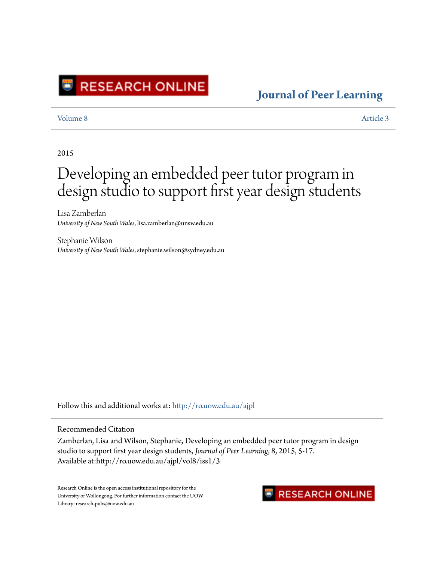

### **[Journal of Peer Learning](http://ro.uow.edu.au/ajpl?utm_source=ro.uow.edu.au%2Fajpl%2Fvol8%2Fiss1%2F3&utm_medium=PDF&utm_campaign=PDFCoverPages)**

[Volume 8](http://ro.uow.edu.au/ajpl/vol8?utm_source=ro.uow.edu.au%2Fajpl%2Fvol8%2Fiss1%2F3&utm_medium=PDF&utm_campaign=PDFCoverPages) [Article 3](http://ro.uow.edu.au/ajpl/vol8/iss1/3?utm_source=ro.uow.edu.au%2Fajpl%2Fvol8%2Fiss1%2F3&utm_medium=PDF&utm_campaign=PDFCoverPages)

#### 2015

# Developing an embedded peer tutor program in design studio to support first year design students

Lisa Zamberlan *University of New South Wales*, lisa.zamberlan@unsw.edu.au

Stephanie Wilson *University of New South Wales*, stephanie.wilson@sydney.edu.au

Follow this and additional works at: [http://ro.uow.edu.au/ajpl](http://ro.uow.edu.au/ajpl?utm_source=ro.uow.edu.au%2Fajpl%2Fvol8%2Fiss1%2F3&utm_medium=PDF&utm_campaign=PDFCoverPages)

#### Recommended Citation

Zamberlan, Lisa and Wilson, Stephanie, Developing an embedded peer tutor program in design studio to support first year design students, *Journal of Peer Learning*, 8, 2015, 5-17. Available at:http://ro.uow.edu.au/ajpl/vol8/iss1/3

Research Online is the open access institutional repository for the University of Wollongong. For further information contact the UOW Library: research-pubs@uow.edu.au

### **RESEARCH ONLINE**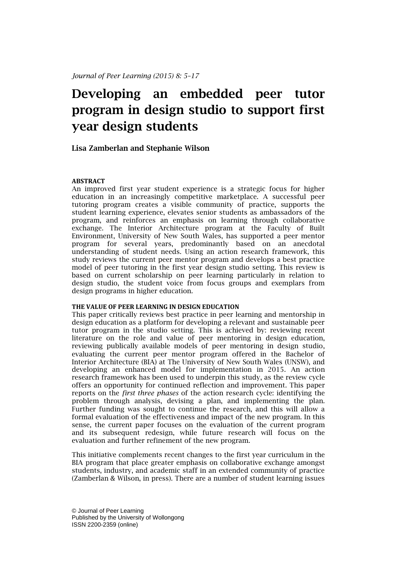## **Developing an embedded peer tutor program in design studio to support first year design students**

### **Lisa Zamberlan and Stephanie Wilson**

#### **ABSTRACT**

An improved first year student experience is a strategic focus for higher education in an increasingly competitive marketplace. A successful peer tutoring program creates a visible community of practice, supports the student learning experience, elevates senior students as ambassadors of the program, and reinforces an emphasis on learning through collaborative exchange. The Interior Architecture program at the Faculty of Built Environment, University of New South Wales, has supported a peer mentor program for several years, predominantly based on an anecdotal understanding of student needs. Using an action research framework, this study reviews the current peer mentor program and develops a best practice model of peer tutoring in the first year design studio setting. This review is based on current scholarship on peer learning particularly in relation to design studio, the student voice from focus groups and exemplars from design programs in higher education.

#### **THE VALUE OF PEER LEARNING IN DESIGN EDUCATION**

This paper critically reviews best practice in peer learning and mentorship in design education as a platform for developing a relevant and sustainable peer tutor program in the studio setting. This is achieved by: reviewing recent literature on the role and value of peer mentoring in design education, reviewing publically available models of peer mentoring in design studio, evaluating the current peer mentor program offered in the Bachelor of Interior Architecture (BIA) at The University of New South Wales (UNSW), and developing an enhanced model for implementation in 2015. An action research framework has been used to underpin this study, as the review cycle offers an opportunity for continued reflection and improvement. This paper reports on the *first three phases* of the action research cycle: identifying the problem through analysis, devising a plan, and implementing the plan. Further funding was sought to continue the research, and this will allow a formal evaluation of the effectiveness and impact of the new program. In this sense, the current paper focuses on the evaluation of the current program and its subsequent redesign, while future research will focus on the evaluation and further refinement of the new program.

This initiative complements recent changes to the first year curriculum in the BIA program that place greater emphasis on collaborative exchange amongst students, industry, and academic staff in an extended community of practice (Zamberlan & Wilson, in press). There are a number of student learning issues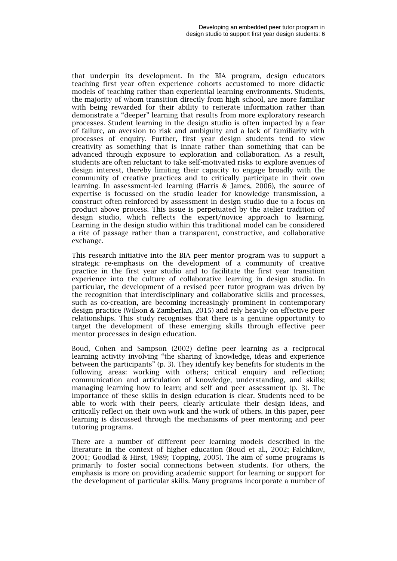that underpin its development. In the BIA program, design educators teaching first year often experience cohorts accustomed to more didactic models of teaching rather than experiential learning environments. Students, the majority of whom transition directly from high school, are more familiar with being rewarded for their ability to reiterate information rather than demonstrate a "deeper" learning that results from more exploratory research processes. Student learning in the design studio is often impacted by a fear of failure, an aversion to risk and ambiguity and a lack of familiarity with processes of enquiry. Further, first year design students tend to view creativity as something that is innate rather than something that can be advanced through exposure to exploration and collaboration. As a result, students are often reluctant to take self-motivated risks to explore avenues of design interest, thereby limiting their capacity to engage broadly with the community of creative practices and to critically participate in their own learning. In assessment-led learning (Harris & James, 2006), the source of expertise is focussed on the studio leader for knowledge transmission, a construct often reinforced by assessment in design studio due to a focus on product above process. This issue is perpetuated by the atelier tradition of design studio, which reflects the expert/novice approach to learning. Learning in the design studio within this traditional model can be considered a rite of passage rather than a transparent, constructive, and collaborative exchange.

This research initiative into the BIA peer mentor program was to support a strategic re-emphasis on the development of a community of creative practice in the first year studio and to facilitate the first year transition experience into the culture of collaborative learning in design studio. In particular, the development of a revised peer tutor program was driven by the recognition that interdisciplinary and collaborative skills and processes, such as co-creation, are becoming increasingly prominent in contemporary design practice (Wilson & Zamberlan, 2015) and rely heavily on effective peer relationships. This study recognises that there is a genuine opportunity to target the development of these emerging skills through effective peer mentor processes in design education.

Boud, Cohen and Sampson (2002) define peer learning as a reciprocal learning activity involving "the sharing of knowledge, ideas and experience between the participants" (p. 3). They identify key benefits for students in the following areas: working with others; critical enquiry and reflection; communication and articulation of knowledge, understanding, and skills; managing learning how to learn; and self and peer assessment (p. 3). The importance of these skills in design education is clear. Students need to be able to work with their peers, clearly articulate their design ideas, and critically reflect on their own work and the work of others. In this paper, peer learning is discussed through the mechanisms of peer mentoring and peer tutoring programs.

There are a number of different peer learning models described in the literature in the context of higher education (Boud et al., 2002; Falchikov, 2001; Goodlad & Hirst, 1989; Topping, 2005). The aim of some programs is primarily to foster social connections between students. For others, the emphasis is more on providing academic support for learning or support for the development of particular skills. Many programs incorporate a number of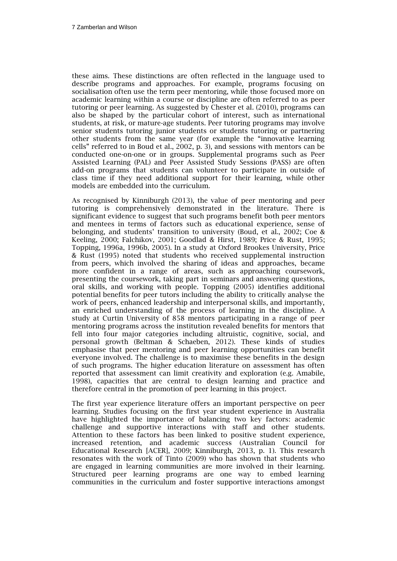these aims. These distinctions are often reflected in the language used to describe programs and approaches. For example, programs focusing on socialisation often use the term peer mentoring, while those focused more on academic learning within a course or discipline are often referred to as peer tutoring or peer learning. As suggested by Chester et al. (2010), programs can also be shaped by the particular cohort of interest, such as international students, at risk, or mature-age students. Peer tutoring programs may involve senior students tutoring junior students or students tutoring or partnering other students from the same year (for example the "innovative learning cells" referred to in Boud et al., 2002, p. 3), and sessions with mentors can be conducted one-on-one or in groups. Supplemental programs such as Peer Assisted Learning (PAL) and Peer Assisted Study Sessions (PASS) are often add-on programs that students can volunteer to participate in outside of class time if they need additional support for their learning, while other models are embedded into the curriculum.

As recognised by Kinniburgh (2013), the value of peer mentoring and peer tutoring is comprehensively demonstrated in the literature. There is significant evidence to suggest that such programs benefit both peer mentors and mentees in terms of factors such as educational experience, sense of belonging, and students' transition to university (Boud, et al., 2002; Coe & Keeling, 2000; Falchikov, 2001; Goodlad & Hirst, 1989; Price & Rust, 1995; Topping, 1996a, 1996b, 2005). In a study at Oxford Brookes University, Price & Rust (1995) noted that students who received supplemental instruction from peers, which involved the sharing of ideas and approaches, became more confident in a range of areas, such as approaching coursework, presenting the coursework, taking part in seminars and answering questions, oral skills, and working with people. Topping (2005) identifies additional potential benefits for peer tutors including the ability to critically analyse the work of peers, enhanced leadership and interpersonal skills, and importantly, an enriched understanding of the process of learning in the discipline. A study at Curtin University of 858 mentors participating in a range of peer mentoring programs across the institution revealed benefits for mentors that fell into four major categories including altruistic, cognitive, social, and personal growth (Beltman & Schaeben, 2012). These kinds of studies emphasise that peer mentoring and peer learning opportunities can benefit everyone involved. The challenge is to maximise these benefits in the design of such programs. The higher education literature on assessment has often reported that assessment can limit creativity and exploration (e.g. Amabile, 1998), capacities that are central to design learning and practice and therefore central in the promotion of peer learning in this project.

The first year experience literature offers an important perspective on peer learning. Studies focusing on the first year student experience in Australia have highlighted the importance of balancing two key factors: academic challenge and supportive interactions with staff and other students. Attention to these factors has been linked to positive student experience, increased retention, and academic success (Australian Council for Educational Research [ACER], 2009; Kinniburgh, 2013, p. 1). This research resonates with the work of Tinto (2009) who has shown that students who are engaged in learning communities are more involved in their learning. Structured peer learning programs are one way to embed learning communities in the curriculum and foster supportive interactions amongst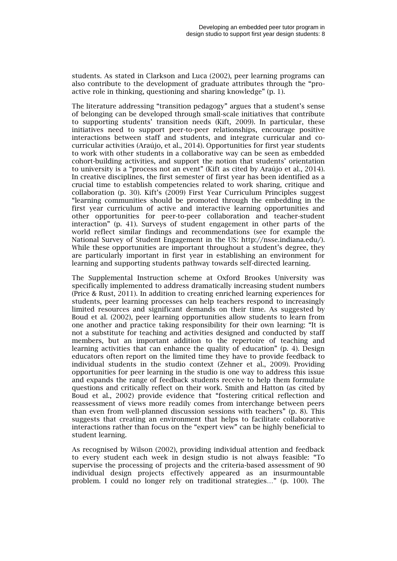students. As stated in Clarkson and Luca (2002), peer learning programs can also contribute to the development of graduate attributes through the "proactive role in thinking, questioning and sharing knowledge" (p. 1).

The literature addressing "transition pedagogy" argues that a student's sense of belonging can be developed through small-scale initiatives that contribute to supporting students' transition needs (Kift, 2009). In particular, these initiatives need to support peer-to-peer relationships, encourage positive interactions between staff and students, and integrate curricular and cocurricular activities (Araújo, et al., 2014). Opportunities for first year students to work with other students in a collaborative way can be seen as embedded cohort-building activities, and support the notion that students' orientation to university is a "process not an event" (Kift as cited by Araújo et al., 2014). In creative disciplines, the first semester of first year has been identified as a crucial time to establish competencies related to work sharing, critique and collaboration (p. 30). Kift's (2009) First Year Curriculum Principles suggest "learning communities should be promoted through the embedding in the first year curriculum of active and interactive learning opportunities and other opportunities for peer-to-peer collaboration and teacher-student interaction" (p. 41). Surveys of student engagement in other parts of the world reflect similar findings and recommendations (see for example the National Survey of Student Engagement in the US: [http://nsse.indiana.edu/\)](http://nsse.indiana.edu/). While these opportunities are important throughout a student's degree, they are particularly important in first year in establishing an environment for learning and supporting students pathway towards self-directed learning.

The Supplemental Instruction scheme at Oxford Brookes University was specifically implemented to address dramatically increasing student numbers (Price & Rust, 2011). In addition to creating enriched learning experiences for students, peer learning processes can help teachers respond to increasingly limited resources and significant demands on their time. As suggested by Boud et al. (2002), peer learning opportunities allow students to learn from one another and practice taking responsibility for their own learning: "It is not a substitute for teaching and activities designed and conducted by staff members, but an important addition to the repertoire of teaching and learning activities that can enhance the quality of education" (p. 4). Design educators often report on the limited time they have to provide feedback to individual students in the studio context (Zehner et al., 2009). Providing opportunities for peer learning in the studio is one way to address this issue and expands the range of feedback students receive to help them formulate questions and critically reflect on their work. Smith and Hatton (as cited by Boud et al., 2002) provide evidence that "fostering critical reflection and reassessment of views more readily comes from interchange between peers than even from well-planned discussion sessions with teachers" (p. 8). This suggests that creating an environment that helps to facilitate collaborative interactions rather than focus on the "expert view" can be highly beneficial to student learning.

As recognised by Wilson (2002), providing individual attention and feedback to every student each week in design studio is not always feasible: "To supervise the processing of projects and the criteria-based assessment of 90 individual design projects effectively appeared as an insurmountable problem. I could no longer rely on traditional strategies…" (p. 100). The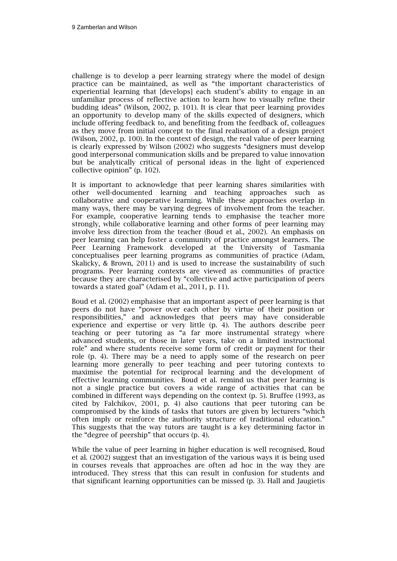challenge is to develop a peer learning strategy where the model of design practice can be maintained, as well as "the important characteristics of experiential learning that [develops] each student's ability to engage in an unfamiliar process of reflective action to learn how to visually refine their budding ideas" (Wilson, 2002, p. 101). It is clear that peer learning provides an opportunity to develop many of the skills expected of designers, which include offering feedback to, and benefiting from the feedback of, colleagues as they move from initial concept to the final realisation of a design project (Wilson, 2002, p. 100). In the context of design, the real value of peer learning is clearly expressed by Wilson (2002) who suggests "designers must develop good interpersonal communication skills and be prepared to value innovation but be analytically critical of personal ideas in the light of experienced collective opinion" (p. 102).

It is important to acknowledge that peer learning shares similarities with other well-documented learning and teaching approaches such as collaborative and cooperative learning. While these approaches overlap in many ways, there may be varying degrees of involvement from the teacher. For example, cooperative learning tends to emphasise the teacher more strongly, while collaborative learning and other forms of peer learning may involve less direction from the teacher (Boud et al., 2002). An emphasis on peer learning can help foster a community of practice amongst learners. The Peer Learning Framework developed at the University of Tasmania conceptualises peer learning programs as communities of practice (Adam, Skalicky, & Brown, 2011) and is used to increase the sustainability of such programs. Peer learning contexts are viewed as communities of practice because they are characterised by "collective and active participation of peers towards a stated goal" (Adam et al., 2011, p. 11).

Boud et al. (2002) emphasise that an important aspect of peer learning is that peers do not have "power over each other by virtue of their position or responsibilities," and acknowledges that peers may have considerable experience and expertise or very little (p. 4). The authors describe peer teaching or peer tutoring as "a far more instrumental strategy where advanced students, or those in later years, take on a limited instructional role" and where students receive some form of credit or payment for their role (p. 4). There may be a need to apply some of the research on peer learning more generally to peer teaching and peer tutoring contexts to maximise the potential for reciprocal learning and the development of effective learning communities. Boud et al. remind us that peer learning is not a single practice but covers a wide range of activities that can be combined in different ways depending on the context (p. 5). Bruffee (1993, as cited by Falchikov, 2001, p. 4) also cautions that peer tutoring can be compromised by the kinds of tasks that tutors are given by lecturers "which often imply or reinforce the authority structure of traditional education." This suggests that the way tutors are taught is a key determining factor in the "degree of peership" that occurs (p. 4).

While the value of peer learning in higher education is well recognised, Boud et al. (2002) suggest that an investigation of the various ways it is being used in courses reveals that approaches are often ad hoc in the way they are introduced. They stress that this can result in confusion for students and that significant learning opportunities can be missed (p. 3). Hall and Jaugietis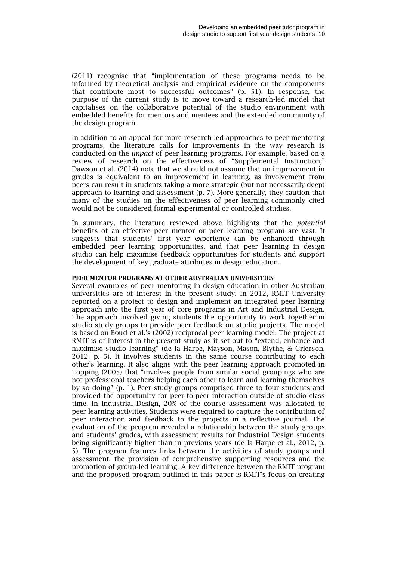(2011) recognise that "implementation of these programs needs to be informed by theoretical analysis and empirical evidence on the components that contribute most to successful outcomes" (p. 51). In response, the purpose of the current study is to move toward a research-led model that capitalises on the collaborative potential of the studio environment with embedded benefits for mentors and mentees and the extended community of the design program.

In addition to an appeal for more research-led approaches to peer mentoring programs, the literature calls for improvements in the way research is conducted on the *impact* of peer learning programs. For example, based on a review of research on the effectiveness of "Supplemental Instruction," Dawson et al. (2014) note that we should not assume that an improvement in grades is equivalent to an improvement in learning, as involvement from peers can result in students taking a more strategic (but not necessarily deep) approach to learning and assessment (p. 7). More generally, they caution that many of the studies on the effectiveness of peer learning commonly cited would not be considered formal experimental or controlled studies.

In summary, the literature reviewed above highlights that the *potential*  benefits of an effective peer mentor or peer learning program are vast. It suggests that students' first year experience can be enhanced through embedded peer learning opportunities, and that peer learning in design studio can help maximise feedback opportunities for students and support the development of key graduate attributes in design education.

#### **PEER MENTOR PROGRAMS AT OTHER AUSTRALIAN UNIVERSITIES**

Several examples of peer mentoring in design education in other Australian universities are of interest in the present study. In 2012, RMIT University reported on a project to design and implement an integrated peer learning approach into the first year of core programs in Art and Industrial Design. The approach involved giving students the opportunity to work together in studio study groups to provide peer feedback on studio projects. The model is based on Boud et al.'s (2002) reciprocal peer learning model. The project at RMIT is of interest in the present study as it set out to "extend, enhance and maximise studio learning" (de la Harpe, Mayson, Mason, Blythe, & Grierson, 2012, p. 5). It involves students in the same course contributing to each other's learning. It also aligns with the peer learning approach promoted in Topping (2005) that "involves people from similar social groupings who are not professional teachers helping each other to learn and learning themselves by so doing" (p. 1). Peer study groups comprised three to four students and provided the opportunity for peer-to-peer interaction outside of studio class time. In Industrial Design, 20% of the course assessment was allocated to peer learning activities. Students were required to capture the contribution of peer interaction and feedback to the projects in a reflective journal. The evaluation of the program revealed a relationship between the study groups and students' grades, with assessment results for Industrial Design students being significantly higher than in previous years (de la Harpe et al., 2012, p. 5). The program features links between the activities of study groups and assessment, the provision of comprehensive supporting resources and the promotion of group-led learning. A key difference between the RMIT program and the proposed program outlined in this paper is RMIT's focus on creating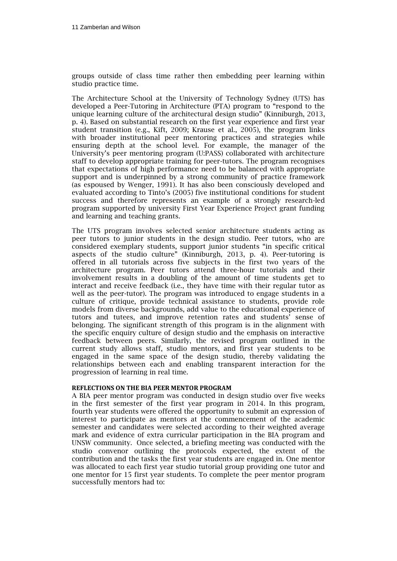groups outside of class time rather then embedding peer learning within studio practice time.

The Architecture School at the University of Technology Sydney (UTS) has developed a Peer-Tutoring in Architecture (PTA) program to "respond to the unique learning culture of the architectural design studio" (Kinniburgh, 2013, p. 4). Based on substantial research on the first year experience and first year student transition (e.g., Kift, 2009; Krause et al., 2005), the program links with broader institutional peer mentoring practices and strategies while ensuring depth at the school level. For example, the manager of the University's peer mentoring program (U:PASS) collaborated with architecture staff to develop appropriate training for peer-tutors. The program recognises that expectations of high performance need to be balanced with appropriate support and is underpinned by a strong community of practice framework (as espoused by Wenger, 1991). It has also been consciously developed and evaluated according to Tinto's (2005) five institutional conditions for student success and therefore represents an example of a strongly research-led program supported by university First Year Experience Project grant funding and learning and teaching grants.

The UTS program involves selected senior architecture students acting as peer tutors to junior students in the design studio. Peer tutors, who are considered exemplary students, support junior students "in specific critical aspects of the studio culture" (Kinniburgh, 2013, p. 4). Peer-tutoring is offered in all tutorials across five subjects in the first two years of the architecture program. Peer tutors attend three-hour tutorials and their involvement results in a doubling of the amount of time students get to interact and receive feedback (i.e., they have time with their regular tutor as well as the peer-tutor). The program was introduced to engage students in a culture of critique, provide technical assistance to students, provide role models from diverse backgrounds, add value to the educational experience of tutors and tutees, and improve retention rates and students' sense of belonging. The significant strength of this program is in the alignment with the specific enquiry culture of design studio and the emphasis on interactive feedback between peers. Similarly, the revised program outlined in the current study allows staff, studio mentors, and first year students to be engaged in the same space of the design studio, thereby validating the relationships between each and enabling transparent interaction for the progression of learning in real time.

#### **REFLECTIONS ON THE BIA PEER MENTOR PROGRAM**

A BIA peer mentor program was conducted in design studio over five weeks in the first semester of the first year program in 2014. In this program, fourth year students were offered the opportunity to submit an expression of interest to participate as mentors at the commencement of the academic semester and candidates were selected according to their weighted average mark and evidence of extra curricular participation in the BIA program and UNSW community. Once selected, a briefing meeting was conducted with the studio convenor outlining the protocols expected, the extent of the contribution and the tasks the first year students are engaged in. One mentor was allocated to each first year studio tutorial group providing one tutor and one mentor for 15 first year students. To complete the peer mentor program successfully mentors had to: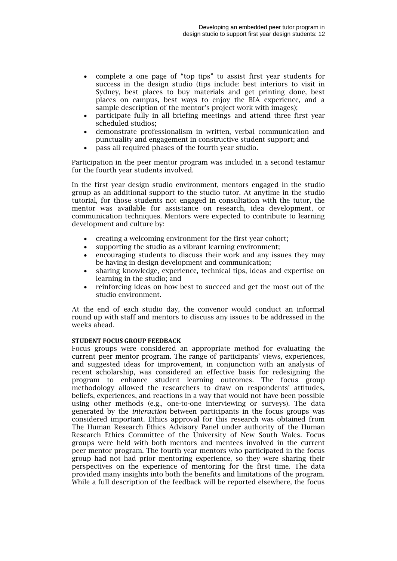- complete a one page of "top tips" to assist first year students for success in the design studio (tips include: best interiors to visit in Sydney, best places to buy materials and get printing done, best places on campus, best ways to enjoy the BIA experience, and a sample description of the mentor's project work with images);
- participate fully in all briefing meetings and attend three first year scheduled studios;
- demonstrate professionalism in written, verbal communication and punctuality and engagement in constructive student support; and
- pass all required phases of the fourth year studio.

Participation in the peer mentor program was included in a second testamur for the fourth year students involved.

In the first year design studio environment, mentors engaged in the studio group as an additional support to the studio tutor. At anytime in the studio tutorial, for those students not engaged in consultation with the tutor, the mentor was available for assistance on research, idea development, or communication techniques. Mentors were expected to contribute to learning development and culture by:

- creating a welcoming environment for the first year cohort;
- supporting the studio as a vibrant learning environment;
- encouraging students to discuss their work and any issues they may be having in design development and communication;
- sharing knowledge, experience, technical tips, ideas and expertise on learning in the studio; and
- reinforcing ideas on how best to succeed and get the most out of the studio environment.

At the end of each studio day, the convenor would conduct an informal round up with staff and mentors to discuss any issues to be addressed in the weeks ahead.

#### **STUDENT FOCUS GROUP FEEDBACK**

Focus groups were considered an appropriate method for evaluating the current peer mentor program. The range of participants' views, experiences, and suggested ideas for improvement, in conjunction with an analysis of recent scholarship, was considered an effective basis for redesigning the program to enhance student learning outcomes. The focus group methodology allowed the researchers to draw on respondents' attitudes, beliefs, experiences, and reactions in a way that would not have been possible using other methods (e.g., one-to-one interviewing or surveys). The data generated by the *interaction* between participants in the focus groups was considered important. Ethics approval for this research was obtained from The Human Research Ethics Advisory Panel under authority of the Human Research Ethics Committee of the University of New South Wales. Focus groups were held with both mentors and mentees involved in the current peer mentor program. The fourth year mentors who participated in the focus group had not had prior mentoring experience, so they were sharing their perspectives on the experience of mentoring for the first time. The data provided many insights into both the benefits and limitations of the program. While a full description of the feedback will be reported elsewhere, the focus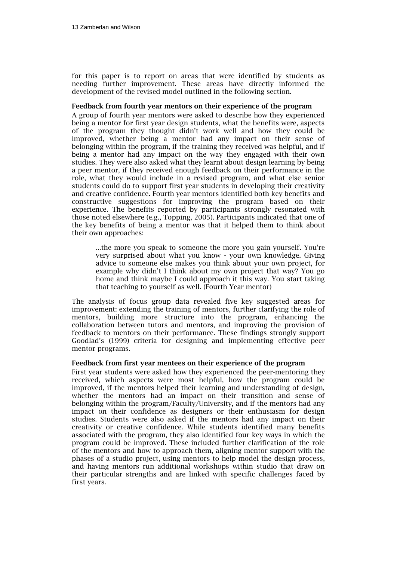for this paper is to report on areas that were identified by students as needing further improvement. These areas have directly informed the development of the revised model outlined in the following section.

#### **Feedback from fourth year mentors on their experience of the program**

A group of fourth year mentors were asked to describe how they experienced being a mentor for first year design students, what the benefits were, aspects of the program they thought didn't work well and how they could be improved, whether being a mentor had any impact on their sense of belonging within the program, if the training they received was helpful, and if being a mentor had any impact on the way they engaged with their own studies. They were also asked what they learnt about design learning by being a peer mentor, if they received enough feedback on their performance in the role, what they would include in a revised program, and what else senior students could do to support first year students in developing their creativity and creative confidence. Fourth year mentors identified both key benefits and constructive suggestions for improving the program based on their experience. The benefits reported by participants strongly resonated with those noted elsewhere (e.g., Topping, 2005). Participants indicated that one of the key benefits of being a mentor was that it helped them to think about their own approaches:

...the more you speak to someone the more you gain yourself. You're very surprised about what you know - your own knowledge. Giving advice to someone else makes you think about your own project, for example why didn't I think about my own project that way? You go home and think maybe I could approach it this way. You start taking that teaching to yourself as well. (Fourth Year mentor)

The analysis of focus group data revealed five key suggested areas for improvement: extending the training of mentors, further clarifying the role of mentors, building more structure into the program, enhancing the collaboration between tutors and mentors, and improving the provision of feedback to mentors on their performance. These findings strongly support Goodlad's (1999) criteria for designing and implementing effective peer mentor programs.

#### **Feedback from first year mentees on their experience of the program**

First year students were asked how they experienced the peer-mentoring they received, which aspects were most helpful, how the program could be improved, if the mentors helped their learning and understanding of design, whether the mentors had an impact on their transition and sense of belonging within the program/Faculty/University, and if the mentors had any impact on their confidence as designers or their enthusiasm for design studies. Students were also asked if the mentors had any impact on their creativity or creative confidence. While students identified many benefits associated with the program, they also identified four key ways in which the program could be improved. These included further clarification of the role of the mentors and how to approach them, aligning mentor support with the phases of a studio project, using mentors to help model the design process, and having mentors run additional workshops within studio that draw on their particular strengths and are linked with specific challenges faced by first years.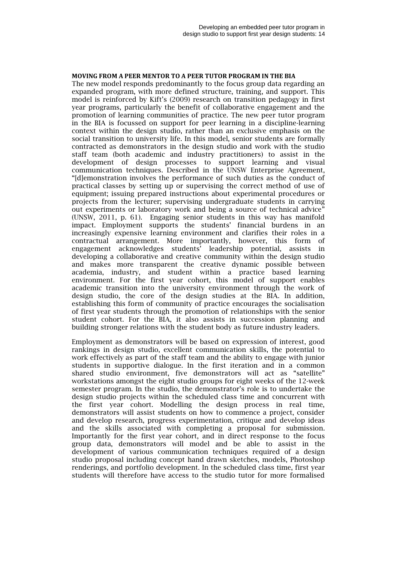#### **MOVING FROM A PEER MENTOR TO A PEER TUTOR PROGRAM IN THE BIA**

The new model responds predominantly to the focus group data regarding an expanded program, with more defined structure, training, and support. This model is reinforced by Kift's (2009) research on transition pedagogy in first year programs, particularly the benefit of collaborative engagement and the promotion of learning communities of practice. The new peer tutor program in the BIA is focussed on support for peer learning in a discipline-learning context within the design studio, rather than an exclusive emphasis on the social transition to university life. In this model, senior students are formally contracted as demonstrators in the design studio and work with the studio staff team (both academic and industry practitioners) to assist in the development of design processes to support learning and visual communication techniques. Described in the UNSW Enterprise Agreement, "[d]emonstration involves the performance of such duties as the conduct of practical classes by setting up or supervising the correct method of use of equipment; issuing prepared instructions about experimental procedures or projects from the lecturer; supervising undergraduate students in carrying out experiments or laboratory work and being a source of technical advice" (UNSW, 2011, p. 61). Engaging senior students in this way has manifold impact. Employment supports the students' financial burdens in an increasingly expensive learning environment and clarifies their roles in a contractual arrangement. More importantly, however, this form of engagement acknowledges students' leadership potential, assists in developing a collaborative and creative community within the design studio and makes more transparent the creative dynamic possible between academia, industry, and student within a practice based learning environment. For the first year cohort, this model of support enables academic transition into the university environment through the work of design studio, the core of the design studies at the BIA. In addition, establishing this form of community of practice encourages the socialisation of first year students through the promotion of relationships with the senior student cohort. For the BIA, it also assists in succession planning and building stronger relations with the student body as future industry leaders.

Employment as demonstrators will be based on expression of interest, good rankings in design studio, excellent communication skills, the potential to work effectively as part of the staff team and the ability to engage with junior students in supportive dialogue. In the first iteration and in a common shared studio environment, five demonstrators will act as "satellite" workstations amongst the eight studio groups for eight weeks of the 12-week semester program. In the studio, the demonstrator's role is to undertake the design studio projects within the scheduled class time and concurrent with the first year cohort. Modelling the design process in real time, demonstrators will assist students on how to commence a project, consider and develop research, progress experimentation, critique and develop ideas and the skills associated with completing a proposal for submission. Importantly for the first year cohort, and in direct response to the focus group data, demonstrators will model and be able to assist in the development of various communication techniques required of a design studio proposal including concept hand drawn sketches, models, Photoshop renderings, and portfolio development. In the scheduled class time, first year students will therefore have access to the studio tutor for more formalised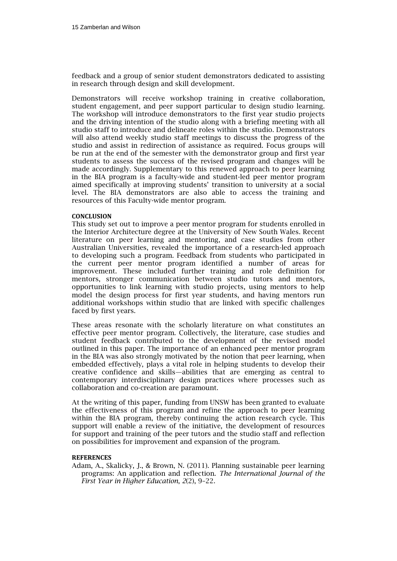feedback and a group of senior student demonstrators dedicated to assisting in research through design and skill development.

Demonstrators will receive workshop training in creative collaboration, student engagement, and peer support particular to design studio learning. The workshop will introduce demonstrators to the first year studio projects and the driving intention of the studio along with a briefing meeting with all studio staff to introduce and delineate roles within the studio. Demonstrators will also attend weekly studio staff meetings to discuss the progress of the studio and assist in redirection of assistance as required. Focus groups will be run at the end of the semester with the demonstrator group and first year students to assess the success of the revised program and changes will be made accordingly. Supplementary to this renewed approach to peer learning in the BIA program is a faculty-wide and student-led peer mentor program aimed specifically at improving students' transition to university at a social level. The BIA demonstrators are also able to access the training and resources of this Faculty-wide mentor program.

#### **CONCLUSION**

This study set out to improve a peer mentor program for students enrolled in the Interior Architecture degree at the University of New South Wales. Recent literature on peer learning and mentoring, and case studies from other Australian Universities, revealed the importance of a research-led approach to developing such a program. Feedback from students who participated in the current peer mentor program identified a number of areas for improvement. These included further training and role definition for mentors, stronger communication between studio tutors and mentors, opportunities to link learning with studio projects, using mentors to help model the design process for first year students, and having mentors run additional workshops within studio that are linked with specific challenges faced by first years.

These areas resonate with the scholarly literature on what constitutes an effective peer mentor program. Collectively, the literature, case studies and student feedback contributed to the development of the revised model outlined in this paper. The importance of an enhanced peer mentor program in the BIA was also strongly motivated by the notion that peer learning, when embedded effectively, plays a vital role in helping students to develop their creative confidence and skills—abilities that are emerging as central to contemporary interdisciplinary design practices where processes such as collaboration and co-creation are paramount.

At the writing of this paper, funding from UNSW has been granted to evaluate the effectiveness of this program and refine the approach to peer learning within the BIA program, thereby continuing the action research cycle. This support will enable a review of the initiative, the development of resources for support and training of the peer tutors and the studio staff and reflection on possibilities for improvement and expansion of the program.

#### **REFERENCES**

Adam, A., Skalicky, J., & Brown, N. (2011). Planning sustainable peer learning programs: An application and reflection. *The International Journal of the First Year in Higher Education*, *2*(2), 9–22.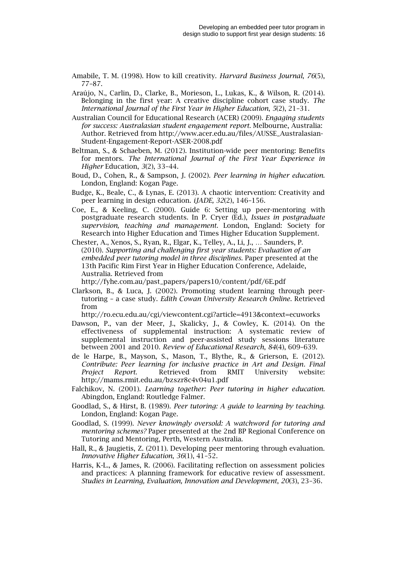Amabile, T. M. (1998). How to kill creativity. *Harvard Business Journal*, *76*(5), 77–87.

- Araújo, N., Carlin, D., Clarke, B., Morieson, L., Lukas, K., & Wilson, R. (2014). Belonging in the first year: A creative discipline cohort case study. *The International Journal of the First Year in Higher Education*, *5*(2), 21–31.
- Australian Council for Educational Research (ACER) (2009). *Engaging students for success: Australasian student engagement report*. Melbourne, Australia: Author. Retrieved from [http://www.acer.edu.au/files/AUSSE\\_Australasian-](http://www.acer.edu.au/files/AUSSE_Australasian-Student-Engagement-Report-ASER-2008.pdf)[Student-Engagement-Report-ASER-2008.pdf](http://www.acer.edu.au/files/AUSSE_Australasian-Student-Engagement-Report-ASER-2008.pdf)
- Beltman, S., & Schaeben, M. (2012). Institution-wide peer mentoring: Benefits for mentors. *The International Journal of the First Year Experience in Higher* Education, *3*(2), 33–44.
- Boud, D., Cohen, R., & Sampson, J. (2002). *Peer learning in higher education*. London, England: Kogan Page.
- Budge, K., Beale, C., & Lynas, E. (2013). A chaotic intervention: Creativity and peer learning in design education. *iJADE, 32*(2), 146–156.
- Coe, E., & Keeling, C. (2000). Guide 6: Setting up peer-mentoring with postgraduate research students. In P. Cryer (Ed.), *Issues in postgraduate supervision, teaching and management.* London, England: Society for Research into Higher Education and Times Higher Education Supplement.
- Chester, A., Xenos, S., Ryan, R., Elgar, K., Telley, A., Li, J., … Saunders, P. (2010). *Supporting and challenging first year students: Evaluation of an embedded peer tutoring model in three disciplines*. Paper presented at the 13th Pacific Rim First Year in Higher Education Conference, Adelaide, Australia. Retrieved from

[http://fyhe.com.au/past\\_papers/papers10/content/pdf/6E.pdf](http://fyhe.com.au/past_papers/papers10/content/pdf/6E.pdf)

Clarkson, B., & Luca, J. (2002). Promoting student learning through peertutoring – a case study. *Edith Cowan University Research Online*. Retrieved from

<http://ro.ecu.edu.au/cgi/viewcontent.cgi?article=4913&context=ecuworks>

- Dawson, P., van der Meer, J., Skalicky, J., & Cowley, K. (2014). On the effectiveness of supplemental instruction: A systematic review of supplemental instruction and peer-assisted study sessions literature between 2001 and 2010. *Review of Educational Research*, *84*(4), 609–639.
- de le Harpe, B., Mayson, S., Mason, T., Blythe, R., & Grierson, E. (2012). *Contribute: Peer learning for inclusive practice in Art and Design. Final Project Report*. Retrieved from RMIT University website: <http://mams.rmit.edu.au/bzszr8c4v04u1.pdf>
- Falchikov, N. (2001). *Learning together: Peer tutoring in higher education.*  Abingdon, England: Routledge Falmer.
- Goodlad, S., & Hirst, B. (1989). *Peer tutoring: A guide to learning by teaching*. London, England: Kogan Page.
- Goodlad, S. (1999). *Never knowingly oversold: A watchword for tutoring and mentoring schemes?* Paper presented at the 2nd BP Regional Conference on Tutoring and Mentoring, Perth, Western Australia.
- Hall, R., & Jaugietis, Z. (2011). Developing peer mentoring through evaluation. *Innovative Higher Education*, *36*(1), 41–52.
- Harris, K-L., & James, R. (2006). Facilitating reflection on assessment policies and practices: A planning framework for educative review of assessment. *Studies in Learning, Evaluation, Innovation and Development*, *20*(3), 23–36.